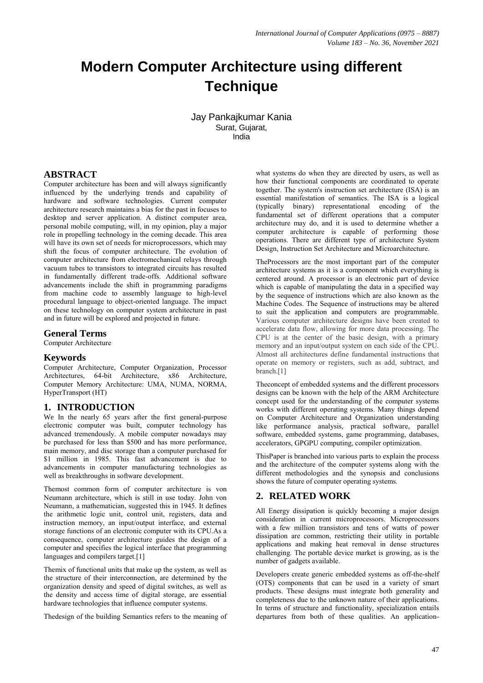# **Modern Computer Architecture using different Technique**

Jay Pankajkumar Kania Surat, Gujarat, India

# **ABSTRACT**

Computer architecture has been and will always significantly influenced by the underlying trends and capability of hardware and software technologies. Current computer architecture research maintains a bias for the past in focuses to desktop and server application. A distinct computer area, personal mobile computing, will, in my opinion, play a major role in propelling technology in the coming decade. This area will have its own set of needs for microprocessors, which may shift the focus of computer architecture. The evolution of computer architecture from electromechanical relays through vacuum tubes to transistors to integrated circuits has resulted in fundamentally different trade-offs. Additional software advancements include the shift in programming paradigms from machine code to assembly language to high-level procedural language to object-oriented language. The impact on these technology on computer system architecture in past and in future will be explored and projected in future.

### **General Terms**

Computer Architecture

### **Keywords**

Computer Architecture, Computer Organization, Processor Architectures, 64-bit Architecture, x86 Architecture, Computer Memory Architecture: UMA, NUMA, NORMA, HyperTransport (HT)

### **1. INTRODUCTION**

We In the nearly 65 years after the first general-purpose electronic computer was built, computer technology has advanced tremendously. A mobile computer nowadays may be purchased for less than \$500 and has more performance, main memory, and disc storage than a computer purchased for \$1 million in 1985. This fast advancement is due to advancements in computer manufacturing technologies as well as breakthroughs in software development.

Themost common form of computer architecture is von Neumann architecture, which is still in use today. John von Neumann, a mathematician, suggested this in 1945. It defines the arithmetic logic unit, control unit, registers, data and instruction memory, an input/output interface, and external storage functions of an electronic computer with its CPU.As a consequence, computer architecture guides the design of a computer and specifies the logical interface that programming languages and compilers target.<sup>[1]</sup>

Themix of functional units that make up the system, as well as the structure of their interconnection, are determined by the organization density and speed of digital switches, as well as the density and access time of digital storage, are essential hardware technologies that influence computer systems.

Thedesign of the building Semantics refers to the meaning of

what systems do when they are directed by users, as well as how their functional components are coordinated to operate together. The system's instruction set architecture (ISA) is an essential manifestation of semantics. The ISA is a logical (typically binary) representational encoding of the fundamental set of different operations that a computer architecture may do, and it is used to determine whether a computer architecture is capable of performing those operations. There are different type of architecture System Design, Instruction Set Architecture and Microarchitecture.

TheProcessors are the most important part of the computer architecture systems as it is a component which everything is centered around. A processor is an electronic part of device which is capable of manipulating the data in a specified way by the sequence of instructions which are also known as the Machine Codes. The Sequence of instructions may be altered to suit the application and computers are programmable. Various computer architecture designs have been created to accelerate data flow, allowing for more data processing. The CPU is at the center of the basic design, with a primary memory and an input/output system on each side of the CPU. Almost all architectures define fundamental instructions that operate on memory or registers, such as add, subtract, and branch.[1]

Theconcept of embedded systems and the different processors designs can be known with the help of the ARM Architecture concept used for the understanding of the computer systems works with different operating systems. Many things depend on Computer Architecture and Organization understanding like performance analysis, practical software, parallel software, embedded systems, game programming, databases, accelerators, GPGPU computing, compiler optimization.

ThisPaper is branched into various parts to explain the process and the architecture of the computer systems along with the different methodologies and the synopsis and conclusions shows the future of computer operating systems.

### **2. RELATED WORK**

All Energy dissipation is quickly becoming a major design consideration in current microprocessors. Microprocessors with a few million transistors and tens of watts of power dissipation are common, restricting their utility in portable applications and making heat removal in dense structures challenging. The portable device market is growing, as is the number of gadgets available.

Developers create generic embedded systems as off-the-shelf (OTS) components that can be used in a variety of smart products. These designs must integrate both generality and completeness due to the unknown nature of their applications. In terms of structure and functionality, specialization entails departures from both of these qualities. An application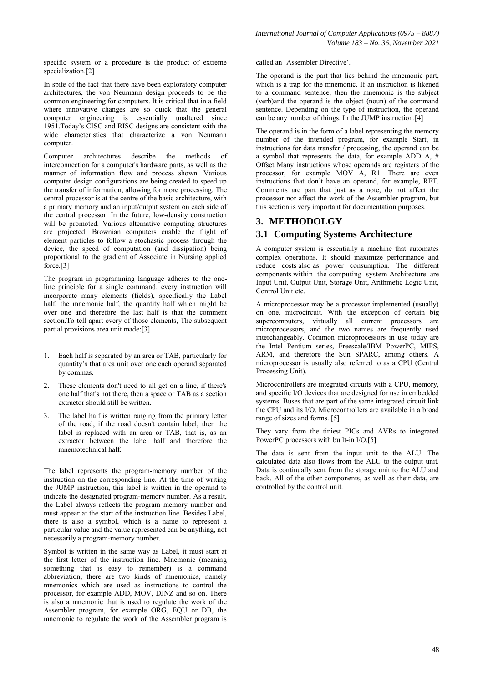specific system or a procedure is the product of extreme specialization.[2]

In spite of the fact that there have been exploratory computer architectures, the von Neumann design proceeds to be the common engineering for computers. It is critical that in a field where innovative changes are so quick that the general computer engineering is essentially unaltered since 1951.Today's CISC and RISC designs are consistent with the wide characteristics that characterize a von Neumann computer.

Computer architectures describe the methods of interconnection for a computer's hardware parts, as well as the manner of information flow and process shown. Various computer design configurations are being created to speed up the transfer of information, allowing for more processing. The central processor is at the centre of the basic architecture, with a primary memory and an input/output system on each side of the central processor. In the future, low-density construction will be promoted. Various alternative computing structures are projected. Brownian computers enable the flight of element particles to follow a stochastic process through the device, the speed of computation (and dissipation) being proportional to the gradient of Associate in Nursing applied force.[3]

The program in programming language adheres to the oneline principle for a single command. every instruction will incorporate many elements (fields), specifically the Label half, the mnemonic half, the quantity half which might be over one and therefore the last half is that the comment section.To tell apart every of those elements, The subsequent partial provisions area unit made:[3]

- 1. Each half is separated by an area or TAB, particularly for quantity's that area unit over one each operand separated by commas.
- 2. These elements don't need to all get on a line, if there's one half that's not there, then a space or TAB as a section extractor should still be written.
- 3. The label half is written ranging from the primary letter of the road, if the road doesn't contain label, then the label is replaced with an area or TAB, that is, as an extractor between the label half and therefore the mnemotechnical half.

The label represents the program-memory number of the instruction on the corresponding line. At the time of writing the JUMP instruction, this label is written in the operand to indicate the designated program-memory number. As a result, the Label always reflects the program memory number and must appear at the start of the instruction line. Besides Label, there is also a symbol, which is a name to represent a particular value and the value represented can be anything, not necessarily a program-memory number.

Symbol is written in the same way as Label, it must start at the first letter of the instruction line. Mnemonic (meaning something that is easy to remember) is a command abbreviation, there are two kinds of mnemonics, namely mnemonics which are used as instructions to control the processor, for example ADD, MOV, DJNZ and so on. There is also a mnemonic that is used to regulate the work of the Assembler program, for example ORG, EQU or DB, the mnemonic to regulate the work of the Assembler program is

called an 'Assembler Directive'.

The operand is the part that lies behind the mnemonic part, which is a trap for the mnemonic. If an instruction is likened to a command sentence, then the mnemonic is the subject (verb)and the operand is the object (noun) of the command sentence. Depending on the type of instruction, the operand can be any number of things. In the JUMP instruction.[4]

The operand is in the form of a label representing the memory number of the intended program, for example Start, in instructions for data transfer / processing, the operand can be a symbol that represents the data, for example ADD A, # Offset Many instructions whose operands are registers of the processor, for example MOV A, R1. There are even instructions that don't have an operand, for example, RET. Comments are part that just as a note, do not affect the processor nor affect the work of the Assembler program, but this section is very important for documentation purposes.

# **3. METHODOLGY**

# **3.1 Computing Systems Architecture**

A computer system is essentially a machine that automates complex operations. It should maximize performance and reduce costs also as power consumption. The different components within the computing system Architecture are Input Unit, Output Unit, Storage Unit, Arithmetic Logic Unit, Control Unit etc.

A microprocessor may be a processor implemented (usually) on one, microcircuit. With the exception of certain big supercomputers, virtually all current processors are microprocessors, and the two names are frequently used interchangeably. Common microprocessors in use today are the Intel Pentium series, Freescale/IBM PowerPC, MIPS, ARM, and therefore the Sun SPARC, among others. A microprocessor is usually also referred to as a CPU (Central Processing Unit).

Microcontrollers are integrated circuits with a CPU, memory, and specific I/O devices that are designed for use in embedded systems. Buses that are part of the same integrated circuit link the CPU and its I/O. Microcontrollers are available in a broad range of sizes and forms. [5]

They vary from the tiniest PICs and AVRs to integrated PowerPC processors with built-in I/O.[5]

The data is sent from the input unit to the ALU. The calculated data also flows from the ALU to the output unit. Data is continually sent from the storage unit to the ALU and back. All of the other components, as well as their data, are controlled by the control unit.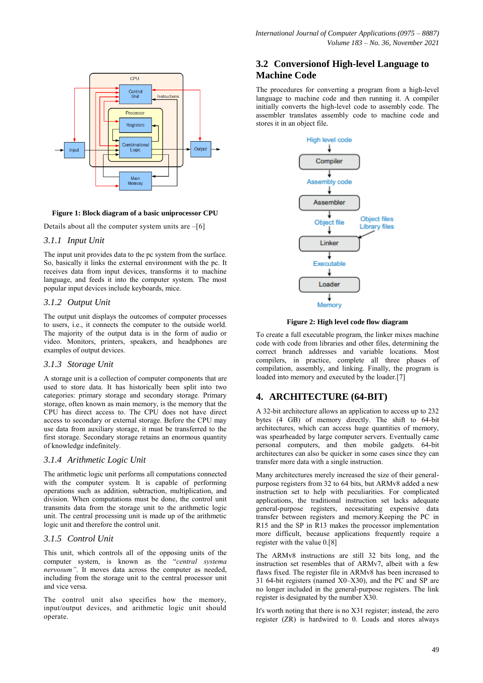

#### **Figure 1: Block diagram of a basic uniprocessor CPU**

Details about all the computer system units are  $-[6]$ 

### *3.1.1 Input Unit*

The input unit provides data to the pc system from the surface. So, basically it links the external environment with the pc. It receives data from input devices, transforms it to machine language, and feeds it into the computer system. The most popular input devices include keyboards, mice.

### *3.1.2 Output Unit*

The output unit displays the outcomes of computer processes to users, i.e., it connects the computer to the outside world. The majority of the output data is in the form of audio or video. Monitors, printers, speakers, and headphones are examples of output devices.

### *3.1.3 Storage Unit*

A storage unit is a collection of computer components that are used to store data. It has historically been split into two categories: primary storage and secondary storage. Primary storage, often known as main memory, is the memory that the CPU has direct access to. The CPU does not have direct access to secondary or external storage. Before the CPU may use data from auxiliary storage, it must be transferred to the first storage. Secondary storage retains an enormous quantity of knowledge indefinitely.

### *3.1.4 Arithmetic Logic Unit*

The arithmetic logic unit performs all computations connected with the computer system. It is capable of performing operations such as addition, subtraction, multiplication, and division. When computations must be done, the control unit transmits data from the storage unit to the arithmetic logic unit. The central processing unit is made up of the arithmetic logic unit and therefore the control unit.

### *3.1.5 Control Unit*

This unit, which controls all of the opposing units of the computer system, is known as the "central systema *nervosum"*. It moves data across the computer as needed, including from the storage unit to the central processor unit and vice versa.

The control unit also specifies how the memory, input/output devices, and arithmetic logic unit should operate.

# **3.2 Conversionof High-level Language to Machine Code**

The procedures for converting a program from a high-level language to machine code and then running it. A compiler initially converts the high-level code to assembly code. The assembler translates assembly code to machine code and stores it in an object file.



**Figure 2: High level code flow diagram**

To create a full executable program, the linker mixes machine code with code from libraries and other files, determining the correct branch addresses and variable locations. Most compilers, in practice, complete all three phases of compilation, assembly, and linking. Finally, the program is loaded into memory and executed by the loader.[7]

# **4. ARCHITECTURE (64-BIT)**

A 32-bit architecture allows an application to access up to 232 bytes (4 GB) of memory directly. The shift to 64-bit architectures, which can access huge quantities of memory, was spearheaded by large computer servers. Eventually came personal computers, and then mobile gadgets. 64-bit architectures can also be quicker in some cases since they can transfer more data with a single instruction.

Many architectures merely increased the size of their generalpurpose registers from 32 to 64 bits, but ARMv8 added a new instruction set to help with peculiarities. For complicated applications, the traditional instruction set lacks adequate general-purpose registers, necessitating expensive data transfer between registers and memory.Keeping the PC in R15 and the SP in R13 makes the processor implementation more difficult, because applications frequently require a register with the value 0.[8]

The ARMv8 instructions are still 32 bits long, and the instruction set resembles that of ARMv7, albeit with a few flaws fixed. The register file in ARMv8 has been increased to 31 64-bit registers (named X0–X30), and the PC and SP are no longer included in the general-purpose registers. The link register is designated by the number X30.

It's worth noting that there is no X31 register; instead, the zero register (ZR) is hardwired to 0. Loads and stores always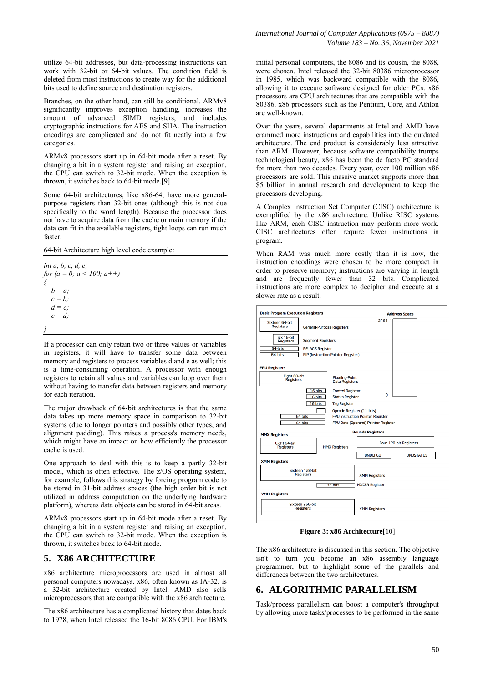utilize 64-bit addresses, but data-processing instructions can work with 32-bit or 64-bit values. The condition field is deleted from most instructions to create way for the additional bits used to define source and destination registers.

Branches, on the other hand, can still be conditional. ARMv8 significantly improves exception handling, increases the amount of advanced SIMD registers, and includes cryptographic instructions for AES and SHA. The instruction encodings are complicated and do not fit neatly into a few categories.

ARMv8 processors start up in 64-bit mode after a reset. By changing a bit in a system register and raising an exception, the CPU can switch to 32-bit mode. When the exception is thrown, it switches back to 64-bit mode.[9]

Some 64-bit architectures, like x86-64, have more generalpurpose registers than 32-bit ones (although this is not due specifically to the word length). Because the processor does not have to acquire data from the cache or main memory if the data can fit in the available registers, tight loops can run much faster

64-bit Architecture high level code example:

```
int a, b, c, d, e;
for (a = 0; a < 100; a++)
{
   b = a;
  c = b;
   d = c;
   e = d;
}
```
If a processor can only retain two or three values or variables in registers, it will have to transfer some data between memory and registers to process variables d and e as well; this is a time-consuming operation. A processor with enough registers to retain all values and variables can loop over them without having to transfer data between registers and memory for each iteration.

The major drawback of 64-bit architectures is that the same data takes up more memory space in comparison to 32-bit systems (due to longer pointers and possibly other types, and alignment padding). This raises a process's memory needs, which might have an impact on how efficiently the processor cache is used.

One approach to deal with this is to keep a partly 32-bit model, which is often effective. The z/OS operating system, for example, follows this strategy by forcing program code to be stored in 31-bit address spaces (the high order bit is not utilized in address computation on the underlying hardware platform), whereas data objects can be stored in 64-bit areas.

ARMv8 processors start up in 64-bit mode after a reset. By changing a bit in a system register and raising an exception, the CPU can switch to 32-bit mode. When the exception is thrown, it switches back to 64-bit mode.

#### **5. X86 ARCHITECTURE**

x86 architecture microprocessors are used in almost all personal computers nowadays. x86, often known as IA-32, is a 32-bit architecture created by Intel. AMD also sells microprocessors that are compatible with the x86 architecture.

The x86 architecture has a complicated history that dates back to 1978, when Intel released the 16-bit 8086 CPU. For IBM's initial personal computers, the 8086 and its cousin, the 8088, were chosen. Intel released the 32-bit 80386 microprocessor in 1985, which was backward compatible with the 8086, allowing it to execute software designed for older PCs. x86 processors are CPU architectures that are compatible with the 80386. x86 processors such as the Pentium, Core, and Athlon are well-known.

Over the years, several departments at Intel and AMD have crammed more instructions and capabilities into the outdated architecture. The end product is considerably less attractive than ARM. However, because software compatibility trumps technological beauty, x86 has been the de facto PC standard for more than two decades. Every year, over 100 million x86 processors are sold. This massive market supports more than \$5 billion in annual research and development to keep the processors developing.

A Complex Instruction Set Computer (CISC) architecture is exemplified by the x86 architecture. Unlike RISC systems like ARM, each CISC instruction may perform more work. CISC architectures often require fewer instructions in program.

When RAM was much more costly than it is now, the instruction encodings were chosen to be more compact in order to preserve memory; instructions are varying in length and are frequently fewer than 32 bits. Complicated instructions are more complex to decipher and execute at a slower rate as a result.



**Figure 3: x86 Architecture**[10]

The x86 architecture is discussed in this section. The objective isn't to turn you become an x86 assembly language programmer, but to highlight some of the parallels and differences between the two architectures.

# **6. ALGORITHMIC PARALLELISM**

Task/process parallelism can boost a computer's throughput by allowing more tasks/processes to be performed in the same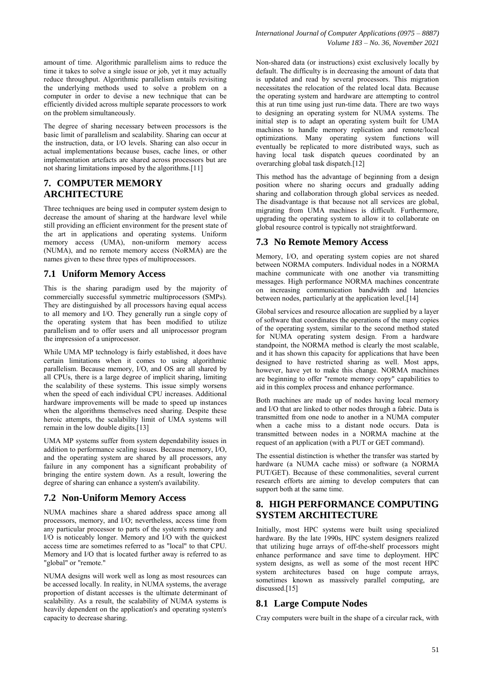amount of time. Algorithmic parallelism aims to reduce the time it takes to solve a single issue or job, yet it may actually reduce throughput. Algorithmic parallelism entails revisiting the underlying methods used to solve a problem on a computer in order to devise a new technique that can be efficiently divided across multiple separate processors to work on the problem simultaneously.

The degree of sharing necessary between processors is the basic limit of parallelism and scalability. Sharing can occur at the instruction, data, or I/O levels. Sharing can also occur in actual implementations because buses, cache lines, or other implementation artefacts are shared across processors but are not sharing limitations imposed by the algorithms.[11]

# **7. COMPUTER MEMORY ARCHITECTURE**

Three techniques are being used in computer system design to decrease the amount of sharing at the hardware level while still providing an efficient environment for the present state of the art in applications and operating systems. Uniform memory access (UMA), non-uniform memory access (NUMA), and no remote memory access (NoRMA) are the names given to these three types of multiprocessors.

# **7.1 Uniform Memory Access**

This is the sharing paradigm used by the majority of commercially successful symmetric multiprocessors (SMPs). They are distinguished by all processors having equal access to all memory and I/O. They generally run a single copy of the operating system that has been modified to utilize parallelism and to offer users and all uniprocessor program the impression of a uniprocessor.

While UMA MP technology is fairly established, it does have certain limitations when it comes to using algorithmic parallelism. Because memory, I/O, and OS are all shared by all CPUs, there is a large degree of implicit sharing, limiting the scalability of these systems. This issue simply worsens when the speed of each individual CPU increases. Additional hardware improvements will be made to speed up instances when the algorithms themselves need sharing. Despite these heroic attempts, the scalability limit of UMA systems will remain in the low double digits.[13]

UMA MP systems suffer from system dependability issues in addition to performance scaling issues. Because memory, I/O, and the operating system are shared by all processors, any failure in any component has a significant probability of bringing the entire system down. As a result, lowering the degree of sharing can enhance a system's availability.

# **7.2 Non-Uniform Memory Access**

NUMA machines share a shared address space among all processors, memory, and I/O; nevertheless, access time from any particular processor to parts of the system's memory and I/O is noticeably longer. Memory and I/O with the quickest access time are sometimes referred to as "local" to that CPU. Memory and I/O that is located further away is referred to as "global" or "remote."

NUMA designs will work well as long as most resources can be accessed locally. In reality, in NUMA systems, the average proportion of distant accesses is the ultimate determinant of scalability. As a result, the scalability of NUMA systems is heavily dependent on the application's and operating system's capacity to decrease sharing.

Non-shared data (or instructions) exist exclusively locally by default. The difficulty is in decreasing the amount of data that is updated and read by several processors. This migration necessitates the relocation of the related local data. Because the operating system and hardware are attempting to control this at run time using just run-time data. There are two ways to designing an operating system for NUMA systems. The initial step is to adapt an operating system built for UMA machines to handle memory replication and remote/local optimizations. Many operating system functions will eventually be replicated to more distributed ways, such as having local task dispatch queues coordinated by an overarching global task dispatch.[12]

This method has the advantage of beginning from a design position where no sharing occurs and gradually adding sharing and collaboration through global services as needed. The disadvantage is that because not all services are global, migrating from UMA machines is difficult. Furthermore, upgrading the operating system to allow it to collaborate on global resource control is typically not straightforward.

# **7.3 No Remote Memory Access**

Memory, I/O, and operating system copies are not shared between NORMA computers. Individual nodes in a NORMA machine communicate with one another via transmitting messages. High performance NORMA machines concentrate on increasing communication bandwidth and latencies between nodes, particularly at the application level.[14]

Global services and resource allocation are supplied by a layer of software that coordinates the operations of the many copies of the operating system, similar to the second method stated for NUMA operating system design. From a hardware standpoint, the NORMA method is clearly the most scalable, and it has shown this capacity for applications that have been designed to have restricted sharing as well. Most apps, however, have yet to make this change. NORMA machines are beginning to offer "remote memory copy" capabilities to aid in this complex process and enhance performance.

Both machines are made up of nodes having local memory and I/O that are linked to other nodes through a fabric. Data is transmitted from one node to another in a NUMA computer when a cache miss to a distant node occurs. Data is transmitted between nodes in a NORMA machine at the request of an application (with a PUT or GET command).

The essential distinction is whether the transfer was started by hardware (a NUMA cache miss) or software (a NORMA PUT/GET). Because of these commonalities, several current research efforts are aiming to develop computers that can support both at the same time.

# **8. HIGH PERFORMANCE COMPUTING SYSTEM ARCHITECTURE**

Initially, most HPC systems were built using specialized hardware. By the late 1990s, HPC system designers realized that utilizing huge arrays of off-the-shelf processors might enhance performance and save time to deployment. HPC system designs, as well as some of the most recent HPC system architectures based on huge compute arrays, sometimes known as massively parallel computing, are discussed.[15]

# **8.1 Large Compute Nodes**

Cray computers were built in the shape of a circular rack, with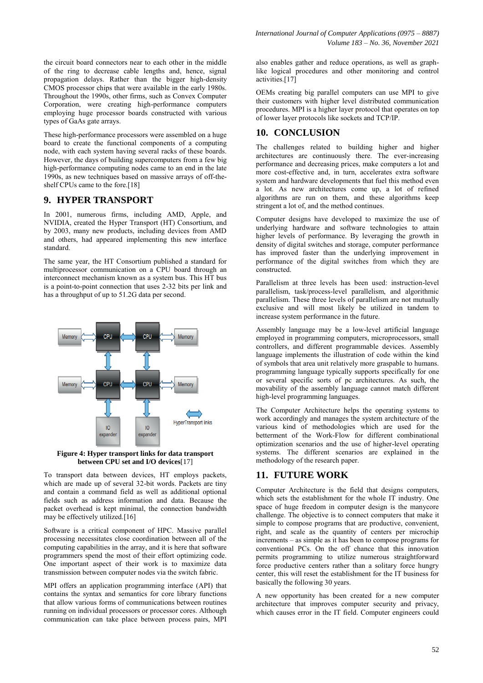the circuit board connectors near to each other in the middle of the ring to decrease cable lengths and, hence, signal propagation delays. Rather than the bigger high-density CMOS processor chips that were available in the early 1980s. Throughout the 1990s, other firms, such as Convex Computer Corporation, were creating high-performance computers employing huge processor boards constructed with various types of GaAs gate arrays.

These high-performance processors were assembled on a huge board to create the functional components of a computing node, with each system having several racks of these boards. However, the days of building supercomputers from a few big high-performance computing nodes came to an end in the late 1990s, as new techniques based on massive arrays of off-theshelf CPUs came to the fore.<sup>[18]</sup>

### **9. HYPER TRANSPORT**

In 2001, numerous firms, including AMD, Apple, and NVIDIA, created the Hyper Transport (HT) Consortium, and by 2003, many new products, including devices from AMD and others, had appeared implementing this new interface standard.

The same year, the HT Consortium published a standard for multiprocessor communication on a CPU board through an interconnect mechanism known as a system bus. This HT bus is a point-to-point connection that uses 2-32 bits per link and has a throughput of up to 51.2G data per second.



**Figure 4: Hyper transport links for data transport between CPU set and I/O devices**[17]

To transport data between devices, HT employs packets, which are made up of several 32-bit words. Packets are tiny and contain a command field as well as additional optional fields such as address information and data. Because the packet overhead is kept minimal, the connection bandwidth may be effectively utilized.[16]

Software is a critical component of HPC. Massive parallel processing necessitates close coordination between all of the computing capabilities in the array, and it is here that software programmers spend the most of their effort optimizing code. One important aspect of their work is to maximize data transmission between computer nodes via the switch fabric.

MPI offers an application programming interface (API) that contains the syntax and semantics for core library functions that allow various forms of communications between routines running on individual processors or processor cores. Although communication can take place between process pairs, MPI

also enables gather and reduce operations, as well as graphlike logical procedures and other monitoring and control activities.[17]

OEMs creating big parallel computers can use MPI to give their customers with higher level distributed communication procedures. MPI is a higher layer protocol that operates on top of lower layer protocols like sockets and TCP/IP.

# **10. CONCLUSION**

The challenges related to building higher and higher architectures are continuously there. The ever-increasing performance and decreasing prices, make computers a lot and more cost-effective and, in turn, accelerates extra software system and hardware developments that fuel this method even a lot. As new architectures come up, a lot of refined algorithms are run on them, and these algorithms keep stringent a lot of, and the method continues.

Computer designs have developed to maximize the use of underlying hardware and software technologies to attain higher levels of performance. By leveraging the growth in density of digital switches and storage, computer performance has improved faster than the underlying improvement in performance of the digital switches from which they are constructed.

Parallelism at three levels has been used: instruction-level parallelism, task/process-level parallelism, and algorithmic parallelism. These three levels of parallelism are not mutually exclusive and will most likely be utilized in tandem to increase system performance in the future.

Assembly language may be a low-level artificial language employed in programming computers, microprocessors, small controllers, and different programmable devices. Assembly language implements the illustration of code within the kind of symbols that area unit relatively more graspable to humans. programming language typically supports specifically for one or several specific sorts of pc architectures. As such, the movability of the assembly language cannot match different high-level programming languages.

The Computer Architecture helps the operating systems to work accordingly and manages the system architecture of the various kind of methodologies which are used for the betterment of the Work-Flow for different combinational optimization scenarios and the use of higher-level operating systems. The different scenarios are explained in the methodology of the research paper.

### **11. FUTURE WORK**

Computer Architecture is the field that designs computers, which sets the establishment for the whole IT industry. One space of huge freedom in computer design is the manycore challenge. The objective is to connect computers that make it simple to compose programs that are productive, convenient, right, and scale as the quantity of centers per microchip increments – as simple as it has been to compose programs for conventional PCs. On the off chance that this innovation permits programming to utilize numerous straightforward force productive centers rather than a solitary force hungry center, this will reset the establishment for the IT business for basically the following 30 years.

A new opportunity has been created for a new computer architecture that improves computer security and privacy, which causes error in the IT field. Computer engineers could